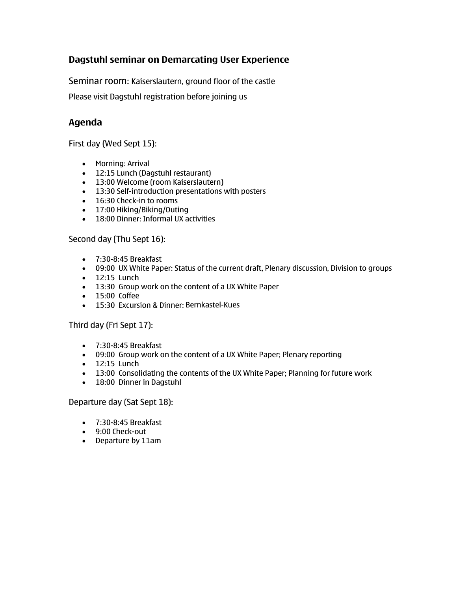## **Dagstuhl seminar on Demarcating User Experience**

Seminar room: Kaiserslautern, ground floor of the castle

Please visit Dagstuhl registration before joining us

## **Agenda**

First day (Wed Sept 15):

- Morning: Arrival
- 12:15 Lunch (Dagstuhl restaurant)
- 13:00 Welcome (room Kaiserslautern)
- 13:30 Self-introduction presentations with posters
- 16:30 Check-in to rooms
- 17:00 Hiking/Biking/Outing
- 18:00 Dinner: Informal UX activities

### Second day (Thu Sept 16):

- 7:30-8:45 Breakfast
- 09:00 UX White Paper: Status of the current draft, Plenary discussion, Division to groups
- 12:15 Lunch
- 13:30 Group work on the content of a UX White Paper
- 15:00 Coffee
- 15:30 Excursion & Dinner: Bernkastel-Kues

#### Third day (Fri Sept 17):

- 7:30-8:45 Breakfast
- 09:00 Group work on the content of a UX White Paper; Plenary reporting
- 12:15 Lunch
- 13:00 Consolidating the contents of the UX White Paper; Planning for future work
- 18:00 Dinner in Dagstuhl

Departure day (Sat Sept 18):

- 7:30-8:45 Breakfast
- 9:00 Check-out
- Departure by 11am